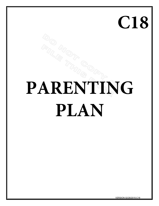# **C18**

# **PARENTING PLAN**

VERSION 02/26/2015-C18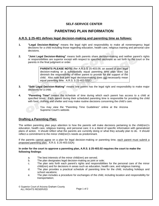#### **SELF-SERVICE CENTER**

# **PARENTING PLAN INFORMATION**

#### **A.R.S. § 25-401 defines legal decision-making and parenting time as follows:**

- **1. "Legal Decision-Making"** means the legal right and responsibility to make all nonemergency legal decisions for a child including those regarding education, health care, religious training and personal care decisions.
- **2. "Joint Legal Decision-Making"** means both parents share decision-making and neither parent's rights or responsibilities are superior except with respect to specified decisions as set forth by the court or the parents in the final judgment or order.

**PARENTS PLEASE NOTE:** Per A.R.S § 25-403.09, an award of joint legal decision-making or a substantially equal parenting time plan does not diminish the responsibility of either parent to provide for the support of the child. Also note that joint legal decision-making does not necessarily mean equal parenting time. A.R.S. § 25-403.02(E)

- **3. "Sole Legal Decision-Making"** means one parent has the legal right and responsibility to make major decisions for a child.
- **4. "Parenting Time"** means the schedule of time during which each parent has access to a child at specified times. Each parent during their scheduled parenting time is responsible for providing the child with food, clothing and shelter and may make routine decisions concerning the child's care.



You may view the "Parenting Time Guidelines" online at the Arizona Supreme Court's website.

#### **Drafting a Parenting Plan:**

The written parenting plan pays attention to how the parents will make decisions pertaining to the child(ren)'s education, health care, religious training, and personal care; it is a blend of specific information with generalized plans of action. It should reflect what the parents are currently doing or what they actually plan to do. It should reflect a commitment to the minor child(ren)'s needs as predominant.

If the parents cannot agree on a plan for legal decision-making or parenting time, each parent must submit a proposed parenting plan. A.R.S. § 25-403.02(A)

#### **In order for the court to approve a parenting plan, A.R.S. § 25-403.02 requires the court to make the following findings**:

- a. The best interests of the minor child(ren) are served;
- b. The plan designates legal decision-making as joint or sole;
- c. The plan sets forth each parent's rights and responsibilities for the personal care of the minor child(ren) and for decisions in areas such as education, health care, and religious training;
- d. The plan provides a practical schedule of parenting time for the child, including holidays and school vacations;
- e. The plan includes a procedure for exchanges of the child, including location and responsibility for transportation;

© Superior Court of Arizona Graham County ALL RIGHTS RESERVED Page 1 of 2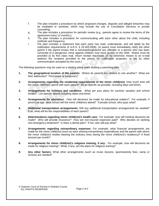- f. The plan includes a procedure by which proposed changes, disputes and alleged breaches may be mediated or resolved, which may include the use of Conciliation Services or private counseling;
- g. The plan includes a procedure for periodic review (e.g., parents agree to review the terms of the agreement every 12 months.);
- h. The plan includes a procedure for communicating with each other about the child, including methods and frequency;
- i. The plan includes a statement that each party has read, understands, and will abide by the notification requirements of A.R.S. § 25-403.05(B). (A parent must immediately notify the other parent if the parent knows that a convicted/registered sex offender or a person who has been convicted of a dangerous crime against children may have access to the child. Notice must be provided (i) by first class mail, return receipt requested, (ii) by electronic means to an e-mail address the recipient provided to the parent for notification purposes, or (iii) by other communication accepted by the court.)

The following questions may be used as a starting place when drafting a parenting plan:

- **1. The geographical location of the parents:** Where do parents live relative to one another? What are their addresses? Permanent or temporary?
- **2. Arrangements regarding the residential requirements of the minor child(ren):** How much time will the minor child(ren) spend with each parent? Be as specific as possible, including days and times.
- **3. Arrangements for holidays and vacations:** What are your plans for summer vacation and school breaks? List specific details including dates and times.
- **4. Arrangements for education:** How will decisions be made for educational matters? For example, if preschool age, what school will the minor child(ren) attend? If private school, who pays what?
- **5. Additional transportation arrangements:** Will any additional transportation arrangements be needed? If so, what will be the responsibilities of each parent?
- **6. Determinations regarding minor child(ren)'s health care:** For example, how will medical decisions be made? Who will provide insurance? How are non-insured expenses paid? Who decides on seeking non-emergency treatment? Is there a dental plan? If not, who will pay what?
- **7. Arrangements regarding extraordinary expenses:** For example, what financial arrangements are made for the minor child(ren) (such as each sharing extraordinary expenditures and the parent with whom the minor child(ren) resides bearing the ordinary ones during the minor child(ren)'s residency)? A fixed amount per month?
- **8. Arrangements for minor child(ren)'s religious training, if any:** For example, how will decisions be made for religious training? What, if any, are the plans for religious training?
- **9. Any other factors:** What other arrangements (such as music lessons, sports/activity fees, camp or Scouts) are needed?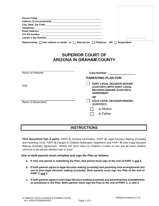| Lawyer's Bar Number: Management Communication of the United States and Communications of the United States and | For Clerk's Use Only |
|----------------------------------------------------------------------------------------------------------------|----------------------|
| Representing $\Box$ Self, without a Lawyer or $\Box$ Attorney for $\Box$ Petitioner OR $\Box$                  | <b>Respondent</b>    |

# **SUPERIOR COURT OF ARIZONA IN GRAHAM COUNTY**

| Name of Petitioner | <b>Case Number:</b>                                                                                               |
|--------------------|-------------------------------------------------------------------------------------------------------------------|
|                    | <b>PARENTING PLAN FOR:</b>                                                                                        |
| <b>AND</b>         | JOINT LEGAL DECISION MAKING<br>(CUSTODY) WITH JOINT LEGAL<br><b>DECISION MAKING (CUSTODY)</b><br><b>AGREEMENT</b> |
|                    | or                                                                                                                |
| Name of Respondent | <b>SOLE LEGAL DECISION-MAKING</b><br>(CUSTODY)                                                                    |
|                    | to Mother                                                                                                         |
|                    | to Father                                                                                                         |
|                    |                                                                                                                   |

# **INSTRUCTIONS**

**This document has 4 parts:** PART **1**) General Information; PART **2**) Legal Decision Making (Custody) and Parenting Time; PART **3**) Danger to Children Notification Statement; and PART **4**) Joint Legal Decision Making (Custody) Agreement. Where this form refers to "children" it refers to any and all minor children common to the parties whether one or more.

#### **One or both parents must complete and sign the Plan as follows:**

- **a. If only** *one* **parent is submitting the Plan: that parent must sign at the end of PART 2 and 3.**
- **b. If both parents agree to legal decision making (custody) and parenting time arrangements** *but not to joint legal decision making (custody):* **Both parents must sign the Plan at the end of PART 2 and 3.**
- **c. If both parents agree to joint legal decision making (custody) and parenting time arrangements as presented in the Plan: Both parents must sign the Plan at the end of PART 2, 3, and 4.**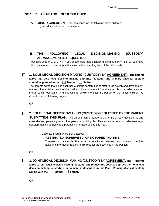# **PART 1: GENERAL INFORMATION:**

**A. MINOR CHILDREN.** This Plan concerns the following minor children: (Use additional paper if necessary)

### **B. THE FOLLOWING LEGAL DECISION-MAKING (CUSTODY) ARRANGEMENT IS REQUESTED:**

(Choose ONE of 1, 2, 3, 4.) (If you chose "sole legal decision-making authority" [1 **or** 2], you have the option of also requesting restrictions on the parenting time of the other party.

**1. SOLE LEGAL DECISION-MAKING (CUSTODY) BY AGREEMENT. The parents agree that sole legal decision-making authority (custody) and primary physical custody**  should be granted to the **Nother Father.** 

The parents agree that since each has a unique contribution to offer to the growth and development of their minor children, each of them will continue to have a full and active role in providing a sound moral, social, economic, and educational environment for the benefit of the minor children, as described in the following pages,

**OR**

#### **2. SOLE LEGAL DECISION-MAKING (CUSTODY) REQUESTED BY THE PARENT**  $\Box$

**SUBMITTING THIS PLAN.** The parents cannot agree to the terms of legal decision making (custody) and parenting time. The parent submitting this Plan asks the court to order sole legal decision-making authority and parenting time according to this Plan.

(Optional, if you marked 1 or 2 above)

 **RESTRICTED, SUPERVISED, OR NO PARENTING TIME.**

The parent submitting this Plan asks the court for an order restricting parenting time. The facts and information related to this request are described in the Petition.

**OR**

 $\Box$ 

**3. JOINT LEGAL DECISION-MAKING (CUSTODY) BY AGREEMENT. The parents agree to joint legal decision-making (custody) and request the court to approve the joint legal decision-making (custody) arrangement as described in this Plan. Primary physical custody**  will be with the  $\Box$  Mother  $\Box$  Father,

**OR**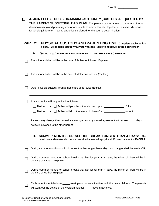| Case No. |  |
|----------|--|
|          |  |

| 4. JOINT LEGAL DECISION-MAKING AUTHORITY (CUSTODY) REQUESTED BY<br>THE PARENT SUBMITTING THIS PLAN. The parents cannot agree to the terms of legal<br>decision making and parenting time or are unable to submit this plan together at this time. My request<br>for joint legal decision-making authority is deferred for the court's determination. |  |  |  |  |  |
|------------------------------------------------------------------------------------------------------------------------------------------------------------------------------------------------------------------------------------------------------------------------------------------------------------------------------------------------------|--|--|--|--|--|
| <b>PART 2:</b><br><b>PHYSICAL CUSTODY AND PARENTING TIME. Complete each section</b><br>below. Be specific about what you want the judge to approve in the court order.                                                                                                                                                                               |  |  |  |  |  |
| Α.<br>(School Year) WEEKDAY AND WEEKEND TIME-SHARING SCHEDULE:                                                                                                                                                                                                                                                                                       |  |  |  |  |  |
| The minor children will be in the care of Father as follows: (Explain).                                                                                                                                                                                                                                                                              |  |  |  |  |  |
| The minor children will be in the care of Mother as follows: (Explain).                                                                                                                                                                                                                                                                              |  |  |  |  |  |
| Other physical custody arrangements are as follows: (Explain).                                                                                                                                                                                                                                                                                       |  |  |  |  |  |
| Transportation will be provided as follows:<br><b>Mother</b> or <b>Father</b> will pick the minor children up at ____________________o'clock.<br>or   Father will drop the minor children off at ____________________ o'clock.<br><b>Mother</b>                                                                                                      |  |  |  |  |  |
| Parents may change their time-share arrangements by mutual agreement with at least<br>days<br>notice in advance to the other parent.                                                                                                                                                                                                                 |  |  |  |  |  |
| SUMMER MONTHS OR SCHOOL BREAK LONGER THAN 4 DAYS:<br>В.<br>The<br>weekday and weekend schedule described above will apply for all 12 calendar months EXCEPT:                                                                                                                                                                                         |  |  |  |  |  |
| During summer months or school breaks that last longer than 4 days, no changes shall be made. OR,                                                                                                                                                                                                                                                    |  |  |  |  |  |
| During summer months or school breaks that last longer than 4 days, the minor children will be in<br>the care of Father: (Explain)                                                                                                                                                                                                                   |  |  |  |  |  |
| During summer months or school breaks that last longer than 4 days, the minor children will be in<br>the care of Mother: (Explain)                                                                                                                                                                                                                   |  |  |  |  |  |
| Each parent is entitled to a _____ week period of vacation time with the minor children. The parents<br>will work out the details of the vacation at least ______ days in advance.                                                                                                                                                                   |  |  |  |  |  |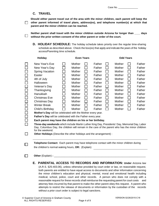#### **C. TRAVEL**

 $\Box$ 

 $\Box$ 

**Should either parent travel out of the area with the minor children, each parent will keep the other parent informed of travel plans, address(es), and telephone number(s) at which that parent and the minor children can be reached.**

Neither parent shall travel with the minor children outside Arizona for longer than days **without the prior written consent of the other parent or order of the court.**

**D. HOLIDAY SCHEDULE:** The holiday schedule takes priority over the regular time-sharing schedule as described above. Check the box(es) that apply and indicate the years of the holiday access/Parenting time schedule.

| <b>Holiday</b>                                                                                                                                                                                                                                                                                                                                                                                                                                                                                                                                                                                                                                        |                               |                                                                                                                                              | <b>Even Years</b>                  |                                                                                                                                |        |                                                                                                                                | <b>Odd Years</b> |                                                                                                                                |
|-------------------------------------------------------------------------------------------------------------------------------------------------------------------------------------------------------------------------------------------------------------------------------------------------------------------------------------------------------------------------------------------------------------------------------------------------------------------------------------------------------------------------------------------------------------------------------------------------------------------------------------------------------|-------------------------------|----------------------------------------------------------------------------------------------------------------------------------------------|------------------------------------|--------------------------------------------------------------------------------------------------------------------------------|--------|--------------------------------------------------------------------------------------------------------------------------------|------------------|--------------------------------------------------------------------------------------------------------------------------------|
| New Year's Eve<br>New Year's Day<br><b>Spring Vacation</b><br>Easter<br>4th of July<br>Halloween<br>Veteran's Day<br>Thanksgiving<br>Hanukkah<br><b>Christmas Eve</b><br>Christmas Day<br><b>Winter Break</b><br>Child's Birthday<br>Mother's Day will be celebrated with the Mother every year.<br>Father's Day will be celebrated with the Father every year.<br>Each parent may have the children on his or her birthday.<br>Three-day weekends which include Martin Luther King Day, Presidents' Day, Memorial Day, Labor<br>Day, Columbus Day, the children will remain in the care of the parent who has the minor children<br>for the weekend. | $\overline{\phantom{0}}$<br>M | Mother<br>Mother<br>Mother<br>Mother<br>Mother<br>Mother<br><b>Mother</b><br><b>Mother</b><br>Mother<br>Mother<br>Mother<br>Mother<br>Mother | $\mathsf{L}$<br>$\mathsf{L}$<br>I. | Father<br>Father<br>Father<br>Father<br>Father<br>Father<br>Father<br>Father<br>Father<br>Father<br>Father<br>Father<br>Father | $\sim$ | Mother<br>Mother<br>Mother<br>Mother<br>Mother<br>Mother<br>Mother<br>Mother<br>Mother<br>Mother<br>Mother<br>Mother<br>Mother |                  | Father<br>Father<br>Father<br>Father<br>Father<br>Father<br>Father<br>Father<br>Father<br>Father<br>Father<br>Father<br>Father |
| Other Holidays (Describe the other holidays and the arrangement) :                                                                                                                                                                                                                                                                                                                                                                                                                                                                                                                                                                                    |                               |                                                                                                                                              |                                    |                                                                                                                                |        |                                                                                                                                |                  |                                                                                                                                |
| Telephone Contact: Each parent may have telephone contact with the minor children during                                                                                                                                                                                                                                                                                                                                                                                                                                                                                                                                                              |                               |                                                                                                                                              |                                    | the children's normal waking hours, OR: (Explain)                                                                              |        |                                                                                                                                |                  |                                                                                                                                |

(A.R.S. §25-403.06), unless otherwise provided by court order or law, on reasonable request, both parents are entitled to have equal access to documents and other information concerning the minor children's education and physical, mental, moral and emotional health including medical, school, police, court and other records. A person who does not comply with a reasonable request for these records shall reimburse the requesting parent for court costs and attorney fees incurred by that parent to make the other parent obey this request. A parent who attempts to restrict the release of documents or information by the custodian of the records without a prior court order is subject to legal sanctions.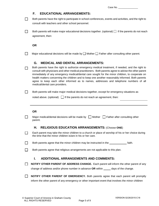Case No.

#### **F. EDUCATIONAL ARRANGEMENTS:**

| Both parents have the right to participate in school conferences, events and activities, and the right to |
|-----------------------------------------------------------------------------------------------------------|
| consult with teachers and other school personnel.                                                         |

| Both parents will make major educational decisions together. (optional) $\Box$ If the parents do not reach |
|------------------------------------------------------------------------------------------------------------|
| agreement, then:                                                                                           |

**OR** 

 $\Box$ 

П Major educational decisions will be made by  $\Box$  Mother  $\Box$  Father after consulting other parent.

#### **G. MEDICAL AND DENTAL ARRANGEMENTS:**

Both parents have the right to authorize emergency medical treatment, if needed, and the right to consult with physicians and other medical practitioners. Both parents agree to advise the other parent immediately of any emergency medical/dental care sought for the minor children, to cooperate on health matters concerning the children and to keep one another reasonably informed. Both parents agree to keep each other informed as to names, addresses and telephone numbers of all medical/dental care providers.

 $\Box$ Both parents will make major medical decisions together, except for emergency situations as

noted above. (optional)  $\Box$  If the parents do not reach an agreement, then:

#### **OR**

П

П

| Major medical/dental decisions will be made by $\Box$ Mother $\Box$ Father after consulting other |  |
|---------------------------------------------------------------------------------------------------|--|
| parent.                                                                                           |  |

#### **H. RELIGIOUS EDUCATION ARRANGEMENTS:** (Choose **ONE**)

Each parent may take the minor children to a church or place of worship of his or her choice during the time that the minor children is/are in his or her care.

Both parents agree that the minor children may be instructed in the faith. П

П Both parents agree that religious arrangements are not applicable to this plan.

#### **I. ADDITIONAL ARRANGEMENTS AND COMMENTS:**

**NOTIFY OTHER PARENT OF ADDRESS CHANGE.** Each parent will inform the other parent of any  $\Box$ change of address and/or phone number in advance OR within \_\_\_\_\_ days of the change.

**NOTIFY OTHER PARENT OF EMERGENCY.** Both parents agree that each parent will promptly inform the other parent of any emergency or other important event that involves the minor children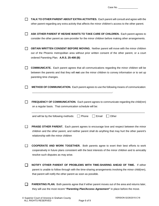| TALK TO OTHER PARENT ABOUT EXTRA ACTIVITIES. Each parent will consult and agree with the<br>other parent regarding any extra activity that affects the minor children's access to the other parent.                                                  |
|------------------------------------------------------------------------------------------------------------------------------------------------------------------------------------------------------------------------------------------------------|
| ASK OTHER PARENT IF HE/SHE WANTS TO TAKE CARE OF CHILDREN. Each parent agrees to<br>consider the other parent as care-provider for the minor children before making other arrangements.                                                              |
| <b>OBTAIN WRITTEN CONSENT BEFORE MOVING.</b> Neither parent will move with the minor children<br>out of the Phoenix metropolitan area without prior written consent of the other parent, or a court<br>ordered Parenting Plan. A.R.S. 25-408 (B)     |
| <b>COMMUNICATE.</b> Each parent agrees that all communications regarding the minor children will be<br>between the parents and that they will not use the minor children to convey information or to set up<br>parenting time changes.               |
| <b>METHOD OF COMMUNICATION.</b> Each parent agrees to use the following means of communication:                                                                                                                                                      |
| <b>FREQUENCY OF COMMUNICATION.</b> Each parent agrees to communicate regarding the child(ren)<br>on a regular basis. That communication schedule will be:                                                                                            |
| Other<br>and will be by the following methods:<br>Phone<br>Email                                                                                                                                                                                     |
| <b>PRAISE OTHER PARENT.</b> Each parent agrees to encourage love and respect between the minor<br>children and the other parent, and neither parent shall do anything that may hurt the other parent's<br>relationship with the minor children       |
| <b>COOPERATE AND WORK TOGETHER.</b> Both parents agree to exert their best efforts to work<br>cooperatively in future plans consistent with the best interests of the minor children and to amicably<br>resolve such disputes as may arise.          |
| NOTIFY OTHER PARENT OF PROBLEMS WITH TIME-SHARING AHEAD OF TIME. If either<br>parent is unable to follow through with the time-sharing arrangements involving the minor child(ren),<br>that parent will notify the other parent as soon as possible. |
| <b>PARENTING PLAN.</b> Both parents agree that if either parent moves out of the area and returns later,<br>they will use the most recent "Parenting Plan/Access Agreement" in place before the move.                                                |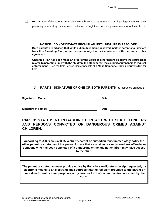**MEDIATION.** If the parents are unable to reach a mutual agreement regarding a legal change to their parenting orders, they may request mediation through the court or a private mediator of their choice.

#### **NOTICE: DO NOT DEVIATE FROM PLAN UNTIL DISPUTE IS RESOLVED.**

**Both parents are advised that while a dispute is being resolved, neither parent shall deviate from this Parenting Plan, or act in such a way that is inconsistent with the terms of this agreement.**

**Once this Plan has been made an order of the Court, if either parent disobeys the court order related to parenting time with the children, the other parent may submit court papers to request enforcement.** See the Self-Service Center packets "**To Make Someone Obey a Court Order**" for help.

#### **J. PART 2 SIGNATURE OF ONE OR BOTH PARENTS** (as instructed on page 1)

| <b>Signature of Mother:</b> | Date: |  |
|-----------------------------|-------|--|
|                             |       |  |

**Signature of Father: Date:**

## **PART 3: STATEMENT REGARDING CONTACT WITH SEX OFFENDERS AND PERSONS CONVICTED OF DANGEROUS CRIMES AGAINST CHILDREN.**

**According to A.R.S. §25-403.05, a child's parent or custodian must immediately notify the other parent or custodian if the person knows that a convicted or registered sex offender or someone who has been convicted of a dangerous crime against children may have access to the child.**

**The parent or custodian must provide notice by first class mail, return receipt requested, by electronic means to an electronic mail address that the recipient provided to the parent or custodian for notification purposes or by another form of communication accepted by the court.**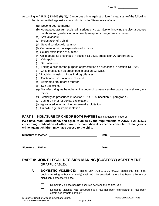Case No.

According to A.R.S. § 13-705 (P) (1), "Dangerous crime against children" means any of the following that is committed against a minor who is under fifteen years of age:

- (a) Second degree murder.
- (b) Aggravated assault resulting in serious physical injury or involving the discharge, use or threatening exhibition of a deadly weapon or dangerous instrument.
- (c) Sexual assault.
- (d) Molestation of a child.
- (e) Sexual conduct with a minor.
- (f) Commercial sexual exploitation of a minor.
- (g) Sexual exploitation of a minor.
- (h) Child abuse as prescribed in section 13-3623, subsection A, paragraph 1.
- (i) Kidnapping.
- (j) Sexual abuse.
- (k) Taking a child for the purpose of prostitution as prescribed in section 13-3206.
- (l) Child prostitution as prescribed in section 13-3212.
- (m) Involving or using minors in drug offenses.
- (n) Continuous sexual abuse of a child.
- (o) Attempted first degree murder.
- (p) Sex trafficking.
- (q) Manufacturing methamphetamine under circumstances that cause physical injury to a minor.
- (r) Bestiality as prescribed in section 13-1411, subsection A, paragraph 2.
- (s) Luring a minor for sexual exploitation.
- (t) Aggravated luring a minor for sexual exploitation.
- (u) Unlawful age misrepresentation.

#### **PART 3 SIGNATURE OF ONE OR BOTH PARTIES** (as instructed on page 1)

**I/We have read, understand, and agree to abide by the requirements of A.R.S. § 25-403.05 concerning notification of other parent or custodian if someone convicted of dangerous crime against children may have access to the child.**

| <b>Signature of Mother:</b> | Date: |  |
|-----------------------------|-------|--|
|-----------------------------|-------|--|

**Signature of Father:** 

# **PART 4: JOINT LEGAL DECISION MAKING (CUSTODY) AGREEMENT**  (IF APPLICABLE)**:**

**A. DOMESTIC VIOLENCE:** Arizona Law (A.R.S. § 25-403.03) states that joint legal decision-making authority (custody) shall NOT be awarded if there has been "a history of significant domestic violence".

 $\Box$ Domestic Violence has **not** occurred between the parties, **OR**

Domestic Violence **has** occurred but it has not been "significant" or has been committed by both parties.**\***

П